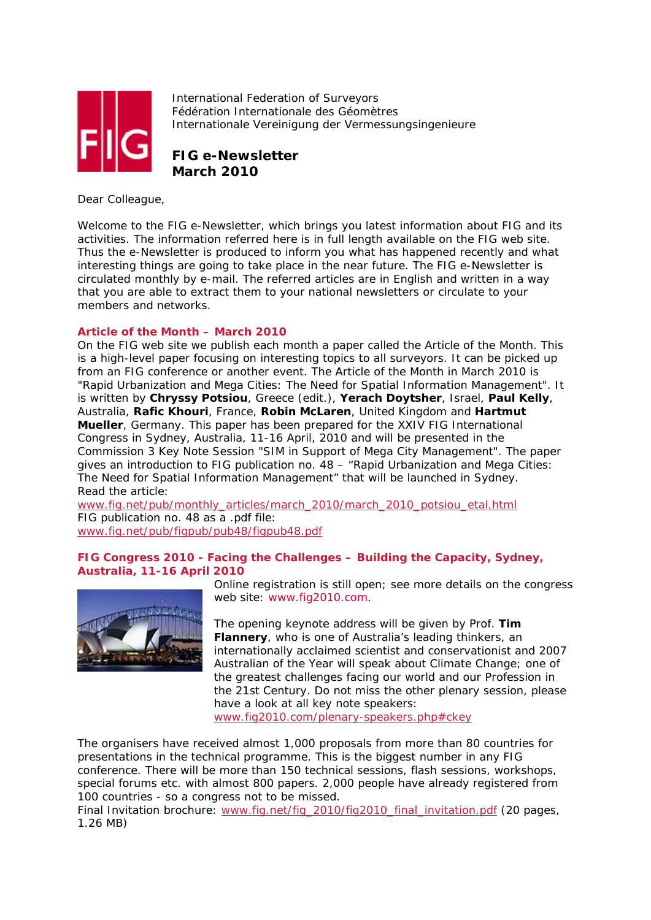

International Federation of Surveyors Fédération Internationale des Géomètres Internationale Vereinigung der Vermessungsingenieure

**FIG e-Newsletter March 2010**

Dear Colleague,

Welcome to the FIG e-Newsletter, which brings you latest information about FIG and its activities. The information referred here is in full length available on the FIG web site. Thus the e-Newsletter is produced to inform you what has happened recently and what interesting things are going to take place in the near future. The FIG e-Newsletter is circulated monthly by e-mail. The referred articles are in English and written in a way that you are able to extract them to your national newsletters or circulate to your members and networks.

# **Article of the Month – March 2010**

On the FIG web site we publish each month a paper called the Article of the Month. This is a high-level paper focusing on interesting topics to all surveyors. It can be picked up from an FIG conference or another event. The Article of the Month in March 2010 is "*Rapid Urbanization and Mega Cities: The Need for Spatial Information Management*". It is written by **Chryssy Potsiou**, Greece (edit.), **Yerach Doytsher**, Israel, **Paul Kelly**, Australia, **Rafic Khouri**, France, **Robin McLaren**, United Kingdom and **Hartmut Mueller**, Germany. This paper has been prepared for the XXIV FIG International Congress in Sydney, Australia, 11-16 April, 2010 and will be presented in the Commission 3 Key Note Session "*SIM in Support of Mega City Management*". The paper gives an introduction to FIG publication no. 48 – "*Rapid Urbanization and Mega Cities: The Need for Spatial Information Management*" that will be launched in Sydney. *Read the article:* 

www.fig.net/pub/monthly\_articles/march\_2010/march\_2010\_potsiou\_etal.html *FIG publication no. 48 as a .pdf file:*  www.fig.net/pub/figpub/pub48/figpub48.pdf

**FIG Congress 2010 - Facing the Challenges – Building the Capacity, Sydney, Australia, 11-16 April 2010** 



Online registration is still open; see more details on the congress web site: www.fig2010.com.

The opening keynote address will be given by Prof. **Tim Flannery**, who is one of Australia's leading thinkers, an internationally acclaimed scientist and conservationist and 2007 Australian of the Year will speak about Climate Change; one of the greatest challenges facing our world and our Profession in the 21st Century. Do not miss the other plenary session, please have a look at all key note speakers:

www.fig2010.com/plenary-speakers.php#ckey

The organisers have received almost 1,000 proposals from more than 80 countries for presentations in the technical programme. This is the biggest number in any FIG conference. There will be more than 150 technical sessions, flash sessions, workshops, special forums etc. with almost 800 papers. 2,000 people have already registered from 100 countries - so a congress not to be missed.

Final Invitation brochure: www.fig.net/fig\_2010/fig2010\_final\_invitation.pdf (20 pages, 1.26 MB)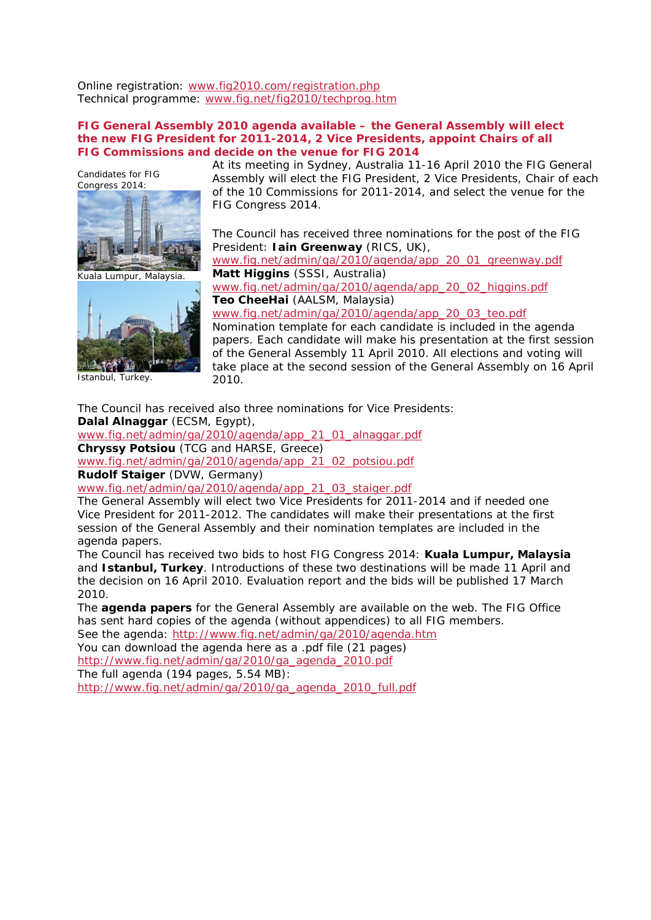Online registration: www.fig2010.com/registration.php Technical programme: www.fig.net/fig2010/techprog.htm

## **FIG General Assembly 2010 agenda available – the General Assembly will elect the new FIG President for 2011-2014, 2 Vice Presidents, appoint Chairs of all FIG Commissions and decide on the venue for FIG 2014**

Candidates for FIG Congress 2014:



Kuala Lumpur, Malaysia.



Istanbul, Turkey.

At its meeting in Sydney, Australia 11-16 April 2010 the FIG General Assembly will elect the FIG President, 2 Vice Presidents, Chair of each of the 10 Commissions for 2011-2014, and select the venue for the FIG Congress 2014.

The Council has received three nominations for the post of the FIG President: **Iain Greenway** (RICS, UK),

www.fig.net/admin/ga/2010/agenda/app\_20\_01\_greenway.pdf **Matt Higgins** (SSSI, Australia) www.fig.net/admin/ga/2010/agenda/app\_20\_02\_higgins.pdf

**Teo CheeHai** (AALSM, Malaysia) www.fig.net/admin/ga/2010/agenda/app\_20\_03\_teo.pdf

Nomination template for each candidate is included in the agenda papers. Each candidate will make his presentation at the first session of the General Assembly 11 April 2010. All elections and voting will take place at the second session of the General Assembly on 16 April 2010.

The Council has received also three nominations for Vice Presidents: **Dalal Alnaggar** (ECSM, Egypt),

www.fig.net/admin/ga/2010/agenda/app\_21\_01\_alnaggar.pdf **Chryssy Potsiou** (TCG and HARSE, Greece) www.fig.net/admin/ga/2010/agenda/app\_21\_02\_potsiou.pdf

**Rudolf Staiger** (DVW, Germany)

www.fig.net/admin/ga/2010/agenda/app\_21\_03\_staiger.pdf

The General Assembly will elect two Vice Presidents for 2011-2014 and if needed one Vice President for 2011-2012. The candidates will make their presentations at the first session of the General Assembly and their nomination templates are included in the agenda papers.

The Council has received two bids to host FIG Congress 2014: **Kuala Lumpur, Malaysia** and **Istanbul, Turkey**. Introductions of these two destinations will be made 11 April and the decision on 16 April 2010. Evaluation report and the bids will be published 17 March 2010.

The **agenda papers** for the General Assembly are available on the web. The FIG Office has sent hard copies of the agenda (without appendices) to all FIG members.

See the agenda: http://www.fig.net/admin/ga/2010/agenda.htm You can download the agenda here as a .pdf file (21 pages)

http://www.fig.net/admin/ga/2010/ga\_agenda\_2010.pdf

The full agenda (194 pages, 5.54 MB):

http://www.fig.net/admin/ga/2010/ga\_agenda\_2010\_full.pdf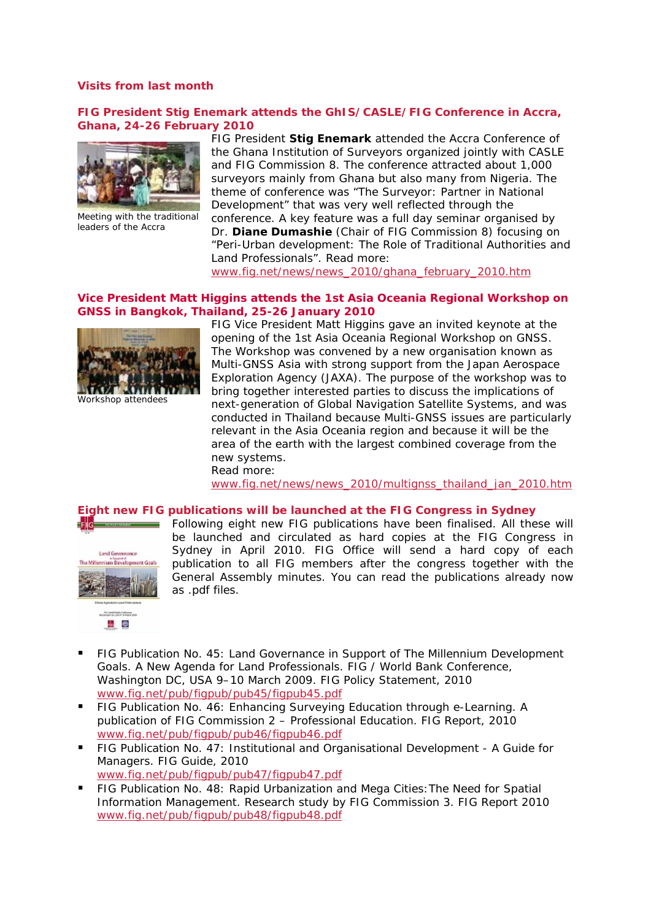## **Visits from last month**

### **FIG President Stig Enemark attends the GhIS/CASLE/FIG Conference in Accra, Ghana, 24-26 February 2010**



Meeting with the traditional leaders of the Accra

FIG President **Stig Enemark** attended the Accra Conference of the Ghana Institution of Surveyors organized jointly with CASLE and FIG Commission 8. The conference attracted about 1,000 surveyors mainly from Ghana but also many from Nigeria. The theme of conference was "*The Surveyor: Partner in National Development*" that was very well reflected through the conference. A key feature was a full day seminar organised by

Dr. **Diane Dumashie** (Chair of FIG Commission 8) focusing on "*Peri-Urban development: The Role of Traditional Authorities and Land Professionals*". *Read more*:

www.fig.net/news/news\_2010/ghana\_february\_2010.htm

# **Vice President Matt Higgins attends the 1st Asia Oceania Regional Workshop on GNSS in Bangkok, Thailand, 25-26 January 2010**



Workshop attendees

FIG Vice President Matt Higgins gave an invited keynote at the opening of the 1st Asia Oceania Regional Workshop on GNSS. The Workshop was convened by a new organisation known as Multi-GNSS Asia with strong support from the Japan Aerospace Exploration Agency (JAXA). The purpose of the workshop was to bring together interested parties to discuss the implications of next-generation of Global Navigation Satellite Systems, and was conducted in Thailand because Multi-GNSS issues are particularly relevant in the Asia Oceania region and because it will be the area of the earth with the largest combined coverage from the new systems. Read more:

www.fig.net/news/news\_2010/multignss\_thailand\_jan\_2010.htm

#### **Eight new FIG publications will be launched at the FIG Congress in Sydney**



FIG RESERVE THE

Following eight new FIG publications have been finalised. All these will be launched and circulated as hard copies at the FIG Congress in Sydney in April 2010. FIG Office will send a hard copy of each publication to all FIG members after the congress together with the General Assembly minutes. You can read the publications already now as .pdf files.

- **Americans** 表示
- FIG Publication No. 45: Land Governance in Support of The Millennium Development Goals. A New Agenda for Land Professionals. FIG / World Bank Conference, Washington DC, USA 9–10 March 2009. FIG Policy Statement, 2010 www.fig.net/pub/figpub/pub45/figpub45.pdf
- FIG Publication No. 46: Enhancing Surveying Education through e-Learning. A publication of FIG Commission 2 – Professional Education. FIG Report, 2010 www.fig.net/pub/figpub/pub46/figpub46.pdf
- FIG Publication No. 47: Institutional and Organisational Development A Guide for Managers. FIG Guide, 2010 www.fig.net/pub/figpub/pub47/figpub47.pdf
- FIG Publication No. 48: Rapid Urbanization and Mega Cities:The Need for Spatial Information Management. Research study by FIG Commission 3. FIG Report 2010 www.fig.net/pub/figpub/pub48/figpub48.pdf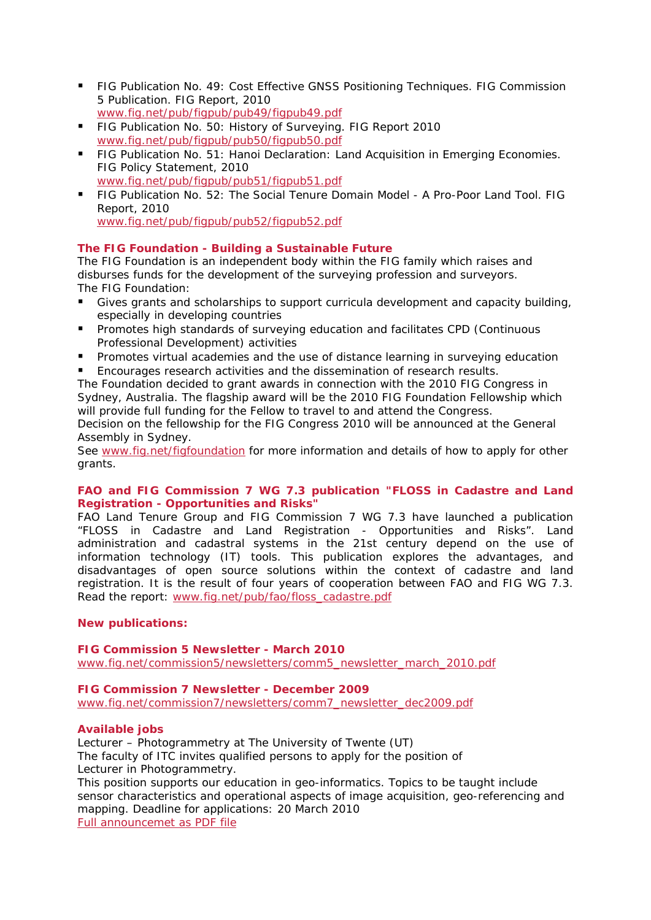- FIG Publication No. 49: Cost Effective GNSS Positioning Techniques. FIG Commission 5 Publication. FIG Report, 2010 www.fig.net/pub/figpub/pub49/figpub49.pdf
- FIG Publication No. 50: History of Surveying. FIG Report 2010 www.fig.net/pub/figpub/pub50/figpub50.pdf
- **FIG Publication No. 51: Hanoi Declaration: Land Acquisition in Emerging Economies.** FIG Policy Statement, 2010 www.fig.net/pub/figpub/pub51/figpub51.pdf
- **FIG Publication No. 52: The Social Tenure Domain Model A Pro-Poor Land Tool. FIG** Report, 2010 www.fig.net/pub/figpub/pub52/figpub52.pdf

# **The FIG Foundation - Building a Sustainable Future**

The FIG Foundation is an independent body within the FIG family which raises and disburses funds for the development of the surveying profession and surveyors. The FIG Foundation:

- Gives grants and scholarships to support curricula development and capacity building, especially in developing countries
- Promotes high standards of surveying education and facilitates CPD (Continuous Professional Development) activities
- **Promotes virtual academies and the use of distance learning in surveying education**
- Encourages research activities and the dissemination of research results.

The Foundation decided to grant awards in connection with the 2010 FIG Congress in Sydney, Australia. The flagship award will be the 2010 *FIG Foundation Fellowship* which will provide full funding for the Fellow to travel to and attend the Congress.

Decision on the fellowship for the FIG Congress 2010 will be announced at the General Assembly in Sydney.

See www.fig.net/figfoundation for more information and details of how to apply for other grants.

# **FAO and FIG Commission 7 WG 7.3 publication "FLOSS in Cadastre and Land Registration - Opportunities and Risks"**

FAO Land Tenure Group and FIG Commission 7 WG 7.3 have launched a publication "*FLOSS in Cadastre and Land Registration - Opportunities and Risks*". Land administration and cadastral systems in the 21st century depend on the use of information technology (IT) tools. This publication explores the advantages, and disadvantages of open source solutions within the context of cadastre and land registration. It is the result of four years of cooperation between FAO and FIG WG 7.3. Read the report: www.fig.net/pub/fao/floss\_cadastre.pdf

# **New publications:**

# **FIG Commission 5 Newsletter - March 2010**

www.fig.net/commission5/newsletters/comm5\_newsletter\_march\_2010.pdf

# **FIG Commission 7 Newsletter - December 2009**

www.fig.net/commission7/newsletters/comm7\_newsletter\_dec2009.pdf

# **Available jobs**

Lecturer – Photogrammetry at The University of Twente (UT) The faculty of ITC invites qualified persons to apply for the position of Lecturer in Photogrammetry.

This position supports our education in geo-informatics. Topics to be taught include sensor characteristics and operational aspects of image acquisition, geo-referencing and mapping. Deadline for applications: 20 March 2010 Full announcemet as PDF file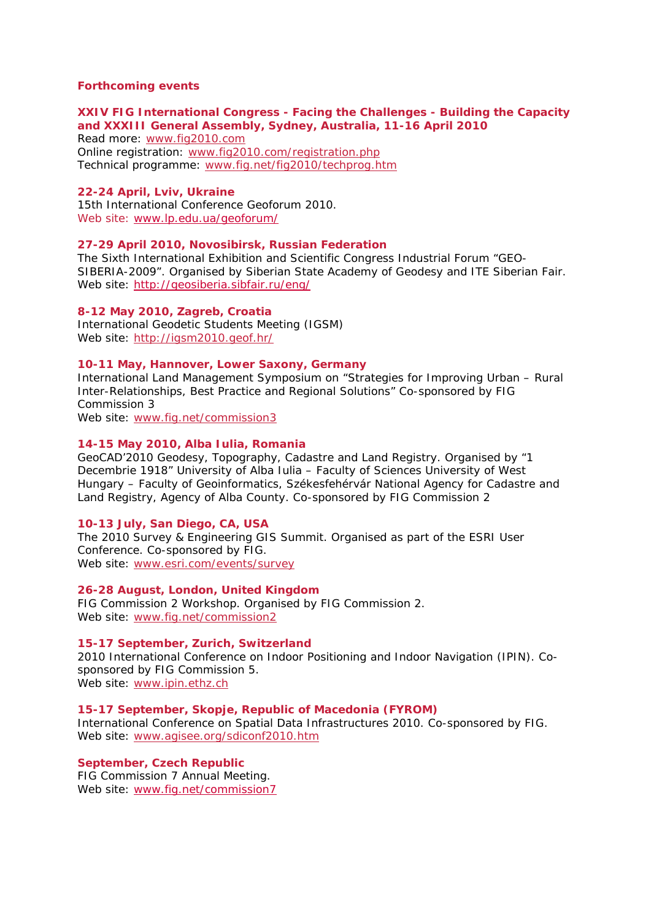### **Forthcoming events**

# **XXIV FIG International Congress - Facing the Challenges - Building the Capacity and XXXIII General Assembly, Sydney, Australia, 11-16 April 2010**

Read more: www.fig2010.com Online registration: www.fig2010.com/registration.php Technical programme: www.fig.net/fig2010/techprog.htm

### **22-24 April, Lviv, Ukraine**

15th International Conference Geoforum 2010. Web site: www.lp.edu.ua/geoforum/

## **27-29 April 2010, Novosibirsk, Russian Federation**

The Sixth International Exhibition and Scientific Congress Industrial Forum "GEO-SIBERIA-2009". Organised by Siberian State Academy of Geodesy and ITE Siberian Fair. Web site: http://geosiberia.sibfair.ru/eng/

#### **8-12 May 2010, Zagreb, Croatia**

International Geodetic Students Meeting (IGSM) Web site: http://igsm2010.geof.hr/

# **10-11 May, Hannover, Lower Saxony, Germany**

International Land Management Symposium on "Strategies for Improving Urban – Rural Inter-Relationships, Best Practice and Regional Solutions" Co-sponsored by FIG Commission 3

Web site: www.fig.net/commission3

### **14-15 May 2010, Alba Iulia, Romania**

GeoCAD'2010 Geodesy, Topography, Cadastre and Land Registry. Organised by "1 Decembrie 1918" University of Alba Iulia – Faculty of Sciences University of West Hungary – Faculty of Geoinformatics, Székesfehérvár National Agency for Cadastre and Land Registry, Agency of Alba County. Co-sponsored by FIG Commission 2

#### **10-13 July, San Diego, CA, USA**

The 2010 Survey & Engineering GIS Summit. Organised as part of the ESRI User Conference. Co-sponsored by FIG. Web site: www.esri.com/events/survey

#### **26-28 August, London, United Kingdom**

FIG Commission 2 Workshop. Organised by FIG Commission 2. Web site: www.fig.net/commission2

### **15-17 September, Zurich, Switzerland**

2010 International Conference on Indoor Positioning and Indoor Navigation (IPIN). Cosponsored by FIG Commission 5. Web site: www.ipin.ethz.ch

#### **15-17 September, Skopje, Republic of Macedonia (FYROM)**

International Conference on Spatial Data Infrastructures 2010. Co-sponsored by FIG. Web site: www.agisee.org/sdiconf2010.htm

# **September, Czech Republic**

FIG Commission 7 Annual Meeting. Web site: www.fig.net/commission7